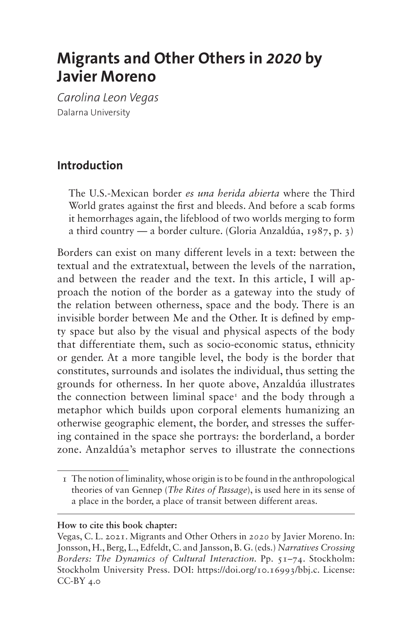# **Migrants and Other Others in** *2020* **by Javier Moreno**

*Carolina Leon Vegas* Dalarna University

#### **Introduction**

The U.S.-Mexican border *es una herida abierta* where the Third World grates against the first and bleeds. And before a scab forms it hemorrhages again, the lifeblood of two worlds merging to form a third country — a border culture. (Gloria Anzaldúa, 1987, p. 3)

Borders can exist on many different levels in a text: between the textual and the extratextual, between the levels of the narration, and between the reader and the text. In this article, I will approach the notion of the border as a gateway into the study of the relation between otherness, space and the body. There is an invisible border between Me and the Other. It is defined by empty space but also by the visual and physical aspects of the body that differentiate them, such as socio-economic status, ethnicity or gender. At a more tangible level, the body is the border that constitutes, surrounds and isolates the individual, thus setting the grounds for otherness. In her quote above, Anzaldúa illustrates the connection between liminal space<sup> $r$ </sup> and the body through a metaphor which builds upon corporal elements humanizing an otherwise geographic element, the border, and stresses the suffering contained in the space she portrays: the borderland, a border zone. Anzaldúa's metaphor serves to illustrate the connections

#### **How to cite this book chapter:**

<span id="page-0-0"></span><sup>1</sup> The notion of liminality, whose origin is to be found in the anthropological theories of van Gennep (*The Rites of Passage*), is used here in its sense of a place in the border, a place of transit between different areas.

Vegas, C. L. 2021. Migrants and Other Others in *2020* by Javier Moreno. In: Jonsson, H., Berg, L., Edfeldt, C. and Jansson, B. G. (eds.) *Narratives Crossing Borders: The Dynamics of Cultural Interaction.* Pp. 51–74. Stockholm: Stockholm University Press. DOI: <https://doi.org/10.16993/bbj.c>. License: CC-BY 4.0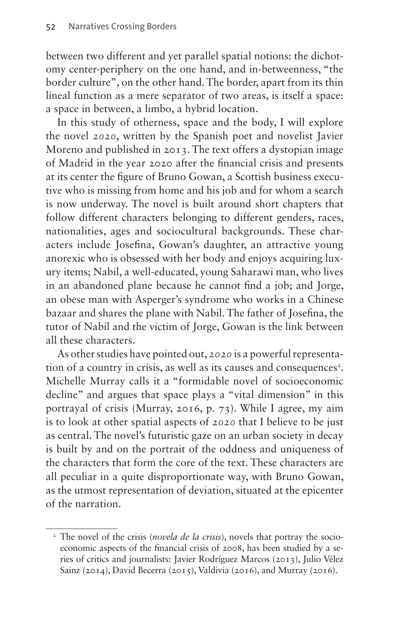between two different and yet parallel spatial notions: the dichotomy center-periphery on the one hand, and in-betweenness, "the border culture", on the other hand. The border, apart from its thin lineal function as a mere separator of two areas, is itself a space: a space in between, a limbo, a hybrid location.

In this study of otherness, space and the body, I will explore the novel *2020*, written by the Spanish poet and novelist Javier Moreno and published in 2013. The text offers a dystopian image of Madrid in the year 2020 after the financial crisis and presents at its center the figure of Bruno Gowan, a Scottish business executive who is missing from home and his job and for whom a search is now underway. The novel is built around short chapters that follow different characters belonging to different genders, races, nationalities, ages and sociocultural backgrounds. These characters include Josefina, Gowan's daughter, an attractive young anorexic who is obsessed with her body and enjoys acquiring luxury items; Nabil, a well-educated, young Saharawi man, who lives in an abandoned plane because he cannot find a job; and Jorge, an obese man with Asperger's syndrome who works in a Chinese bazaar and shares the plane with Nabil. The father of Josefina, the tutor of Nabil and the victim of Jorge, Gowan is the link between all these characters.

As other studies have pointed out, *2020* is a powerful representation of a country in crisis, as well as its causes and consequences<sup>2</sup>. Michelle Murray calls it a "formidable novel of socioeconomic decline" and argues that space plays a "vital dimension" in this portrayal of crisis (Murray, 2016, p. 73). While I agree, my aim is to look at other spatial aspects of *2020* that I believe to be just as central. The novel's futuristic gaze on an urban society in decay is built by and on the portrait of the oddness and uniqueness of the characters that form the core of the text. These characters are all peculiar in a quite disproportionate way, with Bruno Gowan, as the utmost representation of deviation, situated at the epicenter of the narration.

<span id="page-1-0"></span><sup>&</sup>lt;sup>2</sup> The novel of the crisis (*novela de la crisis*), novels that portray the socioeconomic aspects of the financial crisis of 2008, has been studied by a series of critics and journalists: Javier Rodríguez Marcos (2013), Julio Vélez Sainz (2014), David Becerra (2015), Valdivia (2016), and Murray (2016).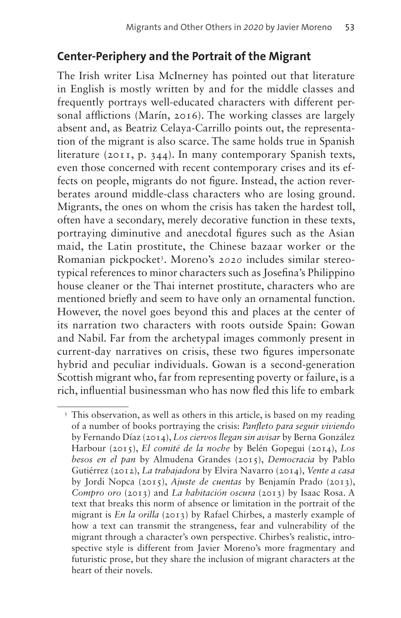### **Center-Periphery and the Portrait of the Migrant**

The Irish writer Lisa McInerney has pointed out that literature in English is mostly written by and for the middle classes and frequently portrays well-educated characters with different personal afflictions (Marín, 2016). The working classes are largely absent and, as Beatriz Celaya-Carrillo points out, the representation of the migrant is also scarce. The same holds true in Spanish literature (2011, p. 344). In many contemporary Spanish texts, even those concerned with recent contemporary crises and its effects on people, migrants do not figure. Instead, the action reverberates around middle-class characters who are losing ground. Migrants, the ones on whom the crisis has taken the hardest toll, often have a secondary, merely decorative function in these texts, portraying diminutive and anecdotal figures such as the Asian maid, the Latin prostitute, the Chinese bazaar worker or the Romanian pickpocket[3](#page-2-0) . Moreno's *2020* includes similar stereotypical references to minor characters such as Josefina's Philippino house cleaner or the Thai internet prostitute, characters who are mentioned briefly and seem to have only an ornamental function. However, the novel goes beyond this and places at the center of its narration two characters with roots outside Spain: Gowan and Nabil. Far from the archetypal images commonly present in current-day narratives on crisis, these two figures impersonate hybrid and peculiar individuals. Gowan is a second-generation Scottish migrant who, far from representing poverty or failure, is a rich, influential businessman who has now fled this life to embark

<span id="page-2-0"></span><sup>&</sup>lt;sup>3</sup> This observation, as well as others in this article, is based on my reading of a number of books portraying the crisis: *Panfleto para seguir viviendo* by Fernando Díaz (2014), *Los ciervos llegan sin avisar* by Berna González Harbour (2015), *El comité de la noche* by Belén Gopegui (2014), *Los besos en el pan* by Almudena Grandes (2015), *Democracia* by Pablo Gutiérrez (2012), *La trabajadora* by Elvira Navarro (2014), *Vente a casa*  by Jordi Nopca (2015), *Ajuste de cuentas* by Benjamín Prado (2013), *Compro oro* (2013) and *La habitación oscura* (2013) by Isaac Rosa. A text that breaks this norm of absence or limitation in the portrait of the migrant is *En la orilla* (2013) by Rafael Chirbes, a masterly example of how a text can transmit the strangeness, fear and vulnerability of the migrant through a character's own perspective. Chirbes's realistic, introspective style is different from Javier Moreno's more fragmentary and futuristic prose, but they share the inclusion of migrant characters at the heart of their novels.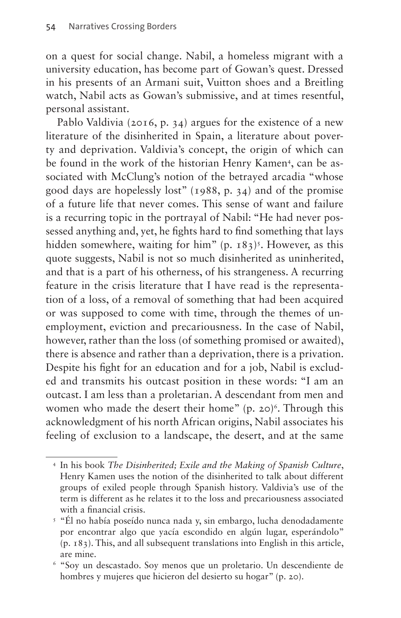on a quest for social change. Nabil, a homeless migrant with a university education, has become part of Gowan's quest. Dressed in his presents of an Armani suit, Vuitton shoes and a Breitling watch, Nabil acts as Gowan's submissive, and at times resentful, personal assistant.

Pablo Valdivia (2016, p. 34) argues for the existence of a new literature of the disinherited in Spain, a literature about poverty and deprivation. Valdivia's concept, the origin of which can be found in the work of the historian Henry Kamen<sup>[4](#page-3-0)</sup>, can be associated with McClung's notion of the betrayed arcadia "whose good days are hopelessly lost" (1988, p. 34) and of the promise of a future life that never comes. This sense of want and failure is a recurring topic in the portrayal of Nabil: "He had never possessed anything and, yet, he fights hard to find something that lays hidden somewhere, waiting for him"  $(p. 183)^5$  $(p. 183)^5$ . However, as this quote suggests, Nabil is not so much disinherited as uninherited, and that is a part of his otherness, of his strangeness. A recurring feature in the crisis literature that I have read is the representation of a loss, of a removal of something that had been acquired or was supposed to come with time, through the themes of unemployment, eviction and precariousness. In the case of Nabil, however, rather than the loss (of something promised or awaited), there is absence and rather than a deprivation, there is a privation. Despite his fight for an education and for a job, Nabil is excluded and transmits his outcast position in these words: "I am an outcast. I am less than a proletarian. A descendant from men and women who made the desert their home"  $(p, 20)^6$ . Through this acknowledgment of his north African origins, Nabil associates his feeling of exclusion to a landscape, the desert, and at the same

<span id="page-3-0"></span><sup>4</sup> In his book *The Disinherited; Exile and the Making of Spanish Culture*, Henry Kamen uses the notion of the disinherited to talk about different groups of exiled people through Spanish history. Valdivia's use of the term is different as he relates it to the loss and precariousness associated with a financial crisis.

<span id="page-3-1"></span><sup>5</sup> "Él no había poseído nunca nada y, sin embargo, lucha denodadamente por encontrar algo que yacía escondido en algún lugar, esperándolo" (p. 183). This, and all subsequent translations into English in this article, are mine.

<span id="page-3-2"></span><sup>6</sup> "Soy un descastado. Soy menos que un proletario. Un descendiente de hombres y mujeres que hicieron del desierto su hogar" (p. 20).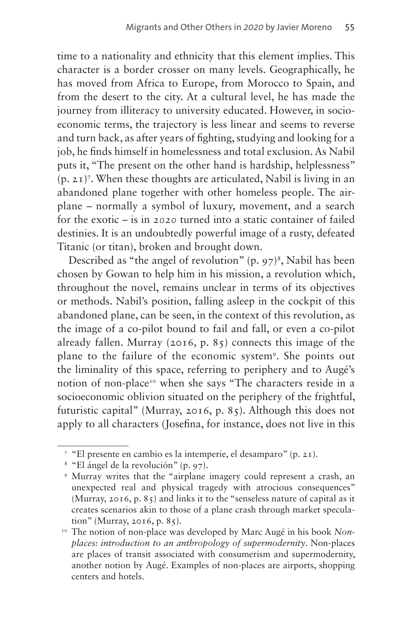time to a nationality and ethnicity that this element implies. This character is a border crosser on many levels. Geographically, he has moved from Africa to Europe, from Morocco to Spain, and from the desert to the city. At a cultural level, he has made the journey from illiteracy to university educated. However, in socioeconomic terms, the trajectory is less linear and seems to reverse and turn back, as after years of fighting, studying and looking for a job, he finds himself in homelessness and total exclusion. As Nabil puts it, "The present on the other hand is hardship, helplessness"  $(p, 21)^7$ . When these thoughts are articulated, Nabil is living in an abandoned plane together with other homeless people. The airplane – normally a symbol of luxury, movement, and a search for the exotic – is in *2020* turned into a static container of failed destinies. It is an undoubtedly powerful image of a rusty, defeated Titanic (or titan), broken and brought down.

Described as "the angel of revolution"  $(p, 97)^8$  $(p, 97)^8$ , Nabil has been chosen by Gowan to help him in his mission, a revolution which, throughout the novel, remains unclear in terms of its objectives or methods. Nabil's position, falling asleep in the cockpit of this abandoned plane, can be seen, in the context of this revolution, as the image of a co-pilot bound to fail and fall, or even a co-pilot already fallen. Murray (2016, p. 85) connects this image of the plane to the failure of the economic system[9.](#page-4-2) She points out the liminality of this space, referring to periphery and to Augé's notion of non-place<sup>10</sup> when she says "The characters reside in a socioeconomic oblivion situated on the periphery of the frightful, futuristic capital" (Murray, 2016, p. 85). Although this does not apply to all characters (Josefina, for instance, does not live in this

<span id="page-4-0"></span><sup>7</sup> "El presente en cambio es la intemperie, el desamparo" (p. 21).

<span id="page-4-1"></span><sup>8</sup> "El ángel de la revolución" (p. 97).

<span id="page-4-2"></span><sup>9</sup> Murray writes that the "airplane imagery could represent a crash, an unexpected real and physical tragedy with atrocious consequences" (Murray, 2016, p. 85) and links it to the "senseless nature of capital as it creates scenarios akin to those of a plane crash through market speculation" (Murray, 2016, p. 85). 10 The notion of non-place was developed by Marc Augé in his book *Non-*

<span id="page-4-3"></span>*places: introduction to an anthropology of supermodernity*. Non-places are places of transit associated with consumerism and supermodernity, another notion by Augé. Examples of non-places are airports, shopping centers and hotels.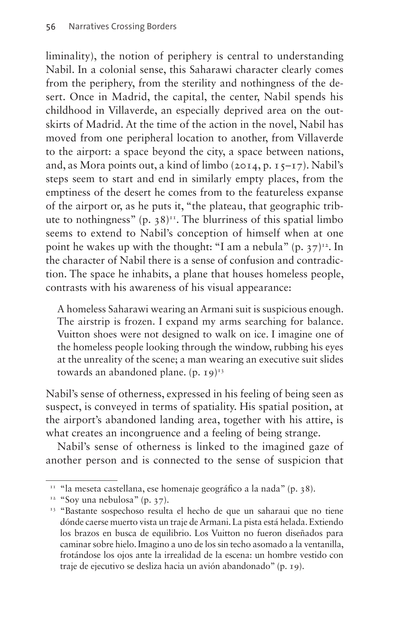liminality), the notion of periphery is central to understanding Nabil. In a colonial sense, this Saharawi character clearly comes from the periphery, from the sterility and nothingness of the desert. Once in Madrid, the capital, the center, Nabil spends his childhood in Villaverde, an especially deprived area on the outskirts of Madrid. At the time of the action in the novel, Nabil has moved from one peripheral location to another, from Villaverde to the airport: a space beyond the city, a space between nations, and, as Mora points out, a kind of limbo (2014, p. 15–17). Nabil's steps seem to start and end in similarly empty places, from the emptiness of the desert he comes from to the featureless expanse of the airport or, as he puts it, "the plateau, that geographic tribute to nothingness" (p.  $38$ )<sup>11</sup>. The blurriness of this spatial limbo seems to extend to Nabil's conception of himself when at one point he wakes up with the thought: "I am a nebula"  $(p, 37)^{12}$  $(p, 37)^{12}$  $(p, 37)^{12}$ . In the character of Nabil there is a sense of confusion and contradiction. The space he inhabits, a plane that houses homeless people, contrasts with his awareness of his visual appearance:

A homeless Saharawi wearing an Armani suit is suspicious enough. The airstrip is frozen. I expand my arms searching for balance. Vuitton shoes were not designed to walk on ice. I imagine one of the homeless people looking through the window, rubbing his eyes at the unreality of the scene; a man wearing an executive suit slides towards an abandoned plane.  $(p, q)^{13}$ 

Nabil's sense of otherness, expressed in his feeling of being seen as suspect, is conveyed in terms of spatiality. His spatial position, at the airport's abandoned landing area, together with his attire, is what creates an incongruence and a feeling of being strange.

Nabil's sense of otherness is linked to the imagined gaze of another person and is connected to the sense of suspicion that

<span id="page-5-0"></span><sup>&</sup>lt;sup>11</sup> "la meseta castellana, ese homenaje geográfico a la nada" (p. 38).

<span id="page-5-1"></span><sup>&</sup>lt;sup>12</sup> "Soy una nebulosa" (p. 37).

<span id="page-5-2"></span><sup>&</sup>lt;sup>13</sup> "Bastante sospechoso resulta el hecho de que un saharaui que no tiene dónde caerse muerto vista un traje de Armani. La pista está helada. Extiendo los brazos en busca de equilibrio. Los Vuitton no fueron diseñados para caminar sobre hielo. Imagino a uno de los sin techo asomado a la ventanilla, frotándose los ojos ante la irrealidad de la escena: un hombre vestido con traje de ejecutivo se desliza hacia un avión abandonado" (p. 19).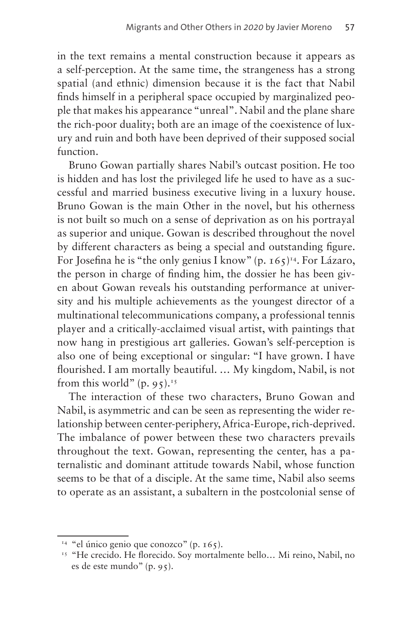in the text remains a mental construction because it appears as a self-perception. At the same time, the strangeness has a strong spatial (and ethnic) dimension because it is the fact that Nabil finds himself in a peripheral space occupied by marginalized people that makes his appearance "unreal". Nabil and the plane share the rich-poor duality; both are an image of the coexistence of luxury and ruin and both have been deprived of their supposed social function.

Bruno Gowan partially shares Nabil's outcast position. He too is hidden and has lost the privileged life he used to have as a successful and married business executive living in a luxury house. Bruno Gowan is the main Other in the novel, but his otherness is not built so much on a sense of deprivation as on his portrayal as superior and unique. Gowan is described throughout the novel by different characters as being a special and outstanding figure. For Josefina he is "the only genius I know" (p.  $165$ )<sup>14</sup>. For Lázaro, the person in charge of finding him, the dossier he has been given about Gowan reveals his outstanding performance at university and his multiple achievements as the youngest director of a multinational telecommunications company, a professional tennis player and a critically-acclaimed visual artist, with paintings that now hang in prestigious art galleries. Gowan's self-perception is also one of being exceptional or singular: "I have grown. I have flourished. I am mortally beautiful. … My kingdom, Nabil, is not from this world"  $(p, 95)$ .<sup>[15](#page-6-1)</sup>

The interaction of these two characters, Bruno Gowan and Nabil, is asymmetric and can be seen as representing the wider relationship between center-periphery, Africa-Europe, rich-deprived. The imbalance of power between these two characters prevails throughout the text. Gowan, representing the center, has a paternalistic and dominant attitude towards Nabil, whose function seems to be that of a disciple. At the same time, Nabil also seems to operate as an assistant, a subaltern in the postcolonial sense of

<span id="page-6-0"></span> $14$  "el único genio que conozco" (p. 165).

<span id="page-6-1"></span><sup>&</sup>lt;sup>15</sup> "He crecido. He florecido. Soy mortalmente bello... Mi reino, Nabil, no es de este mundo" (p. 95).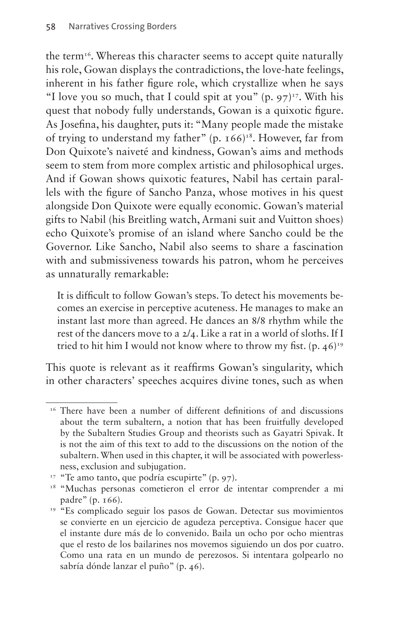the term<sup>16</sup>. Whereas this character seems to accept quite naturally his role, Gowan displays the contradictions, the love-hate feelings, inherent in his father figure role, which crystallize when he says "I love you so much, that I could spit at you" (p.  $97$ )<sup>17</sup>. With his quest that nobody fully understands, Gowan is a quixotic figure. As Josefina, his daughter, puts it: "Many people made the mistake of trying to understand my father" (p.  $166$ )<sup>18</sup>. However, far from Don Quixote's naiveté and kindness, Gowan's aims and methods seem to stem from more complex artistic and philosophical urges. And if Gowan shows quixotic features, Nabil has certain parallels with the figure of Sancho Panza, whose motives in his quest alongside Don Quixote were equally economic. Gowan's material gifts to Nabil (his Breitling watch, Armani suit and Vuitton shoes) echo Quixote's promise of an island where Sancho could be the Governor. Like Sancho, Nabil also seems to share a fascination with and submissiveness towards his patron, whom he perceives as unnaturally remarkable:

It is difficult to follow Gowan's steps. To detect his movements becomes an exercise in perceptive acuteness. He manages to make an instant last more than agreed. He dances an 8/8 rhythm while the rest of the dancers move to a 2/4. Like a rat in a world of sloths. If I tried to hit him I would not know where to throw my fist.  $(p. 46)^{19}$  $(p. 46)^{19}$  $(p. 46)^{19}$ 

This quote is relevant as it reaffirms Gowan's singularity, which in other characters' speeches acquires divine tones, such as when

<span id="page-7-0"></span><sup>&</sup>lt;sup>16</sup> There have been a number of different definitions of and discussions about the term subaltern, a notion that has been fruitfully developed by the Subaltern Studies Group and theorists such as Gayatri Spivak. It is not the aim of this text to add to the discussions on the notion of the subaltern. When used in this chapter, it will be associated with powerlessness, exclusion and subjugation.

<span id="page-7-1"></span><sup>&</sup>lt;sup>17</sup> "Te amo tanto, que podría escupirte" (p. 97).

<span id="page-7-2"></span><sup>18</sup> "Muchas personas cometieron el error de intentar comprender a mi padre" (p. 166).

<span id="page-7-3"></span><sup>&</sup>lt;sup>19</sup> "Es complicado seguir los pasos de Gowan. Detectar sus movimientos se convierte en un ejercicio de agudeza perceptiva. Consigue hacer que el instante dure más de lo convenido. Baila un ocho por ocho mientras que el resto de los bailarines nos movemos siguiendo un dos por cuatro. Como una rata en un mundo de perezosos. Si intentara golpearlo no sabría dónde lanzar el puño" (p. 46).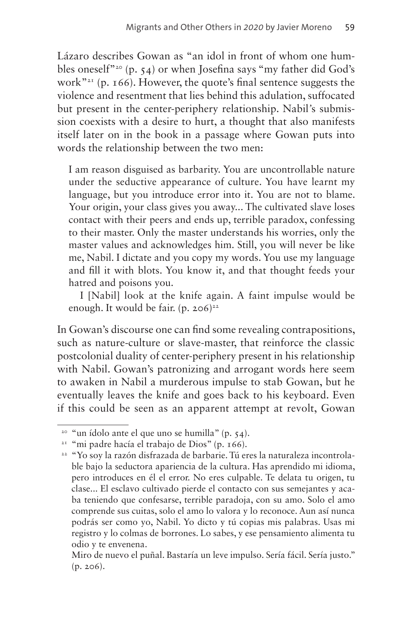Lázaro describes Gowan as "an idol in front of whom one humbles oneself"<sup>20</sup> (p. 54) or when Josefina says "my father did God's work"<sup>21</sup> (p. 166). However, the quote's final sentence suggests the violence and resentment that lies behind this adulation, suffocated but present in the center-periphery relationship. Nabil*'*s submission coexists with a desire to hurt, a thought that also manifests itself later on in the book in a passage where Gowan puts into words the relationship between the two men:

I am reason disguised as barbarity. You are uncontrollable nature under the seductive appearance of culture. You have learnt my language, but you introduce error into it. You are not to blame. Your origin, your class gives you away... The cultivated slave loses contact with their peers and ends up, terrible paradox, confessing to their master. Only the master understands his worries, only the master values and acknowledges him. Still, you will never be like me, Nabil. I dictate and you copy my words. You use my language and fill it with blots. You know it, and that thought feeds your hatred and poisons you.

I [Nabil] look at the knife again. A faint impulse would be enough. It would be fair.  $(p. 206)^{22}$ 

In Gowan's discourse one can find some revealing contrapositions, such as nature-culture or slave-master, that reinforce the classic postcolonial duality of center-periphery present in his relationship with Nabil. Gowan's patronizing and arrogant words here seem to awaken in Nabil a murderous impulse to stab Gowan, but he eventually leaves the knife and goes back to his keyboard. Even if this could be seen as an apparent attempt at revolt, Gowan

<span id="page-8-0"></span><sup>&</sup>lt;sup>20</sup> "un ídolo ante el que uno se humilla" (p.  $54$ ).

<span id="page-8-1"></span><sup>21</sup> "mi padre hacía el trabajo de Dios" (p. 166).

<span id="page-8-2"></span><sup>22</sup> "Yo soy la razón disfrazada de barbarie. Tú eres la naturaleza incontrolable bajo la seductora apariencia de la cultura. Has aprendido mi idioma, pero introduces en él el error. No eres culpable. Te delata tu origen, tu clase... El esclavo cultivado pierde el contacto con sus semejantes y acaba teniendo que confesarse, terrible paradoja, con su amo. Solo el amo comprende sus cuitas, solo el amo lo valora y lo reconoce. Aun así nunca podrás ser como yo, Nabil. Yo dicto y tú copias mis palabras. Usas mi registro y lo colmas de borrones. Lo sabes, y ese pensamiento alimenta tu odio y te envenena.

Miro de nuevo el puñal. Bastaría un leve impulso. Sería fácil. Sería justo." (p. 206).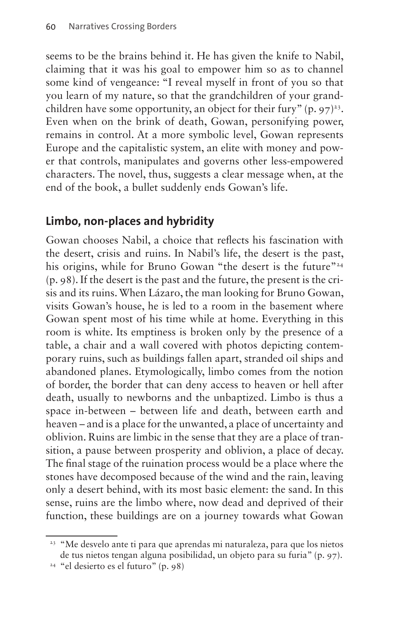seems to be the brains behind it. He has given the knife to Nabil, claiming that it was his goal to empower him so as to channel some kind of vengeance: "I reveal myself in front of you so that you learn of my nature, so that the grandchildren of your grandchildren have some opportunity, an object for their fury"  $(p, 97)^{23}$ . Even when on the brink of death, Gowan, personifying power, remains in control. At a more symbolic level, Gowan represents Europe and the capitalistic system, an elite with money and power that controls, manipulates and governs other less-empowered characters. The novel, thus, suggests a clear message when, at the end of the book, a bullet suddenly ends Gowan's life.

# **Limbo, non-places and hybridity**

Gowan chooses Nabil, a choice that reflects his fascination with the desert, crisis and ruins. In Nabil's life, the desert is the past, his origins, while for Bruno Gowan "the desert is the future"<sup>24</sup> (p. 98). If the desert is the past and the future, the present is the crisis and its ruins. When Lázaro, the man looking for Bruno Gowan, visits Gowan's house, he is led to a room in the basement where Gowan spent most of his time while at home. Everything in this room is white. Its emptiness is broken only by the presence of a table, a chair and a wall covered with photos depicting contemporary ruins, such as buildings fallen apart, stranded oil ships and abandoned planes. Etymologically, limbo comes from the notion of border, the border that can deny access to heaven or hell after death, usually to newborns and the unbaptized. Limbo is thus a space in-between – between life and death, between earth and heaven – and is a place for the unwanted, a place of uncertainty and oblivion. Ruins are limbic in the sense that they are a place of transition, a pause between prosperity and oblivion, a place of decay. The final stage of the ruination process would be a place where the stones have decomposed because of the wind and the rain, leaving only a desert behind, with its most basic element: the sand. In this sense, ruins are the limbo where, now dead and deprived of their function, these buildings are on a journey towards what Gowan

<span id="page-9-1"></span><sup>24</sup> "el desierto es el futuro" (p. 98)

<span id="page-9-0"></span><sup>&</sup>lt;sup>23</sup> "Me desvelo ante ti para que aprendas mi naturaleza, para que los nietos de tus nietos tengan alguna posibilidad, un objeto para su furia" (p. 97).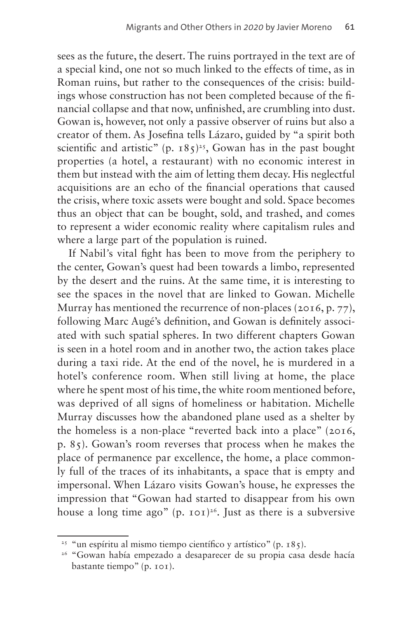sees as the future, the desert. The ruins portrayed in the text are of a special kind, one not so much linked to the effects of time, as in Roman ruins, but rather to the consequences of the crisis: buildings whose construction has not been completed because of the financial collapse and that now, unfinished, are crumbling into dust. Gowan is, however, not only a passive observer of ruins but also a creator of them. As Josefina tells Lázaro, guided by "a spirit both scientific and artistic" (p.  $185$ )<sup>25</sup>, Gowan has in the past bought properties (a hotel, a restaurant) with no economic interest in them but instead with the aim of letting them decay. His neglectful acquisitions are an echo of the financial operations that caused the crisis, where toxic assets were bought and sold. Space becomes thus an object that can be bought, sold, and trashed, and comes to represent a wider economic reality where capitalism rules and where a large part of the population is ruined.

If Nabil*'*s vital fight has been to move from the periphery to the center, Gowan's quest had been towards a limbo, represented by the desert and the ruins. At the same time, it is interesting to see the spaces in the novel that are linked to Gowan. Michelle Murray has mentioned the recurrence of non-places (2016, p. 77), following Marc Augé's definition, and Gowan is definitely associated with such spatial spheres. In two different chapters Gowan is seen in a hotel room and in another two, the action takes place during a taxi ride. At the end of the novel, he is murdered in a hotel's conference room. When still living at home, the place where he spent most of his time, the white room mentioned before, was deprived of all signs of homeliness or habitation. Michelle Murray discusses how the abandoned plane used as a shelter by the homeless is a non-place "reverted back into a place" (2016, p. 85). Gowan's room reverses that process when he makes the place of permanence par excellence, the home, a place commonly full of the traces of its inhabitants, a space that is empty and impersonal. When Lázaro visits Gowan's house, he expresses the impression that "Gowan had started to disappear from his own house a long time ago" (p.  $10^{-26}$ . Just as there is a subversive

<span id="page-10-0"></span><sup>&</sup>lt;sup>25</sup> "un espíritu al mismo tiempo científico y artístico" (p. 185).

<span id="page-10-1"></span><sup>26</sup> "Gowan había empezado a desaparecer de su propia casa desde hacía bastante tiempo" (p. 101).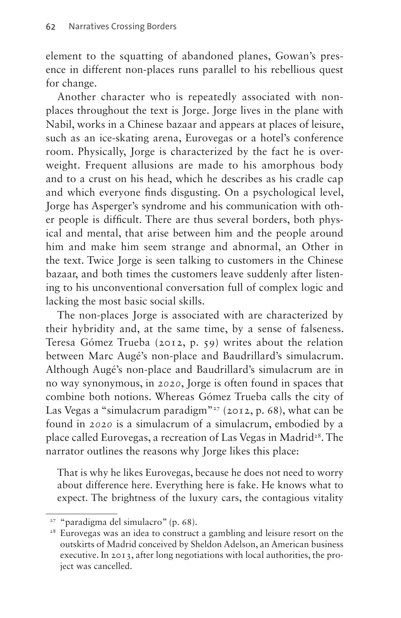element to the squatting of abandoned planes, Gowan's presence in different non-places runs parallel to his rebellious quest for change.

Another character who is repeatedly associated with nonplaces throughout the text is Jorge. Jorge lives in the plane with Nabil, works in a Chinese bazaar and appears at places of leisure, such as an ice-skating arena, Eurovegas or a hotel's conference room. Physically, Jorge is characterized by the fact he is overweight. Frequent allusions are made to his amorphous body and to a crust on his head, which he describes as his cradle cap and which everyone finds disgusting. On a psychological level, Jorge has Asperger's syndrome and his communication with other people is difficult. There are thus several borders, both physical and mental, that arise between him and the people around him and make him seem strange and abnormal, an Other in the text. Twice Jorge is seen talking to customers in the Chinese bazaar, and both times the customers leave suddenly after listening to his unconventional conversation full of complex logic and lacking the most basic social skills.

The non-places Jorge is associated with are characterized by their hybridity and, at the same time, by a sense of falseness. Teresa Gómez Trueba (2012, p. 59) writes about the relation between Marc Augé's non-place and Baudrillard's simulacrum. Although Augé's non-place and Baudrillard's simulacrum are in no way synonymous, in *2020*, Jorge is often found in spaces that combine both notions. Whereas Gómez Trueba calls the city of Las Vegas a "simulacrum paradigm"<sup>27</sup> (2012, p. 68), what can be found in *2020* is a simulacrum of a simulacrum, embodied by a place called Eurovegas, a recreation of Las Vegas in Madrid<sup>28</sup>. The narrator outlines the reasons why Jorge likes this place:

That is why he likes Eurovegas, because he does not need to worry about difference here. Everything here is fake. He knows what to expect. The brightness of the luxury cars, the contagious vitality

<span id="page-11-0"></span><sup>27</sup> "paradigma del simulacro" (p. 68).

<span id="page-11-1"></span><sup>28</sup> Eurovegas was an idea to construct a gambling and leisure resort on the outskirts of Madrid conceived by Sheldon Adelson, an American business executive. In 2013, after long negotiations with local authorities, the project was cancelled.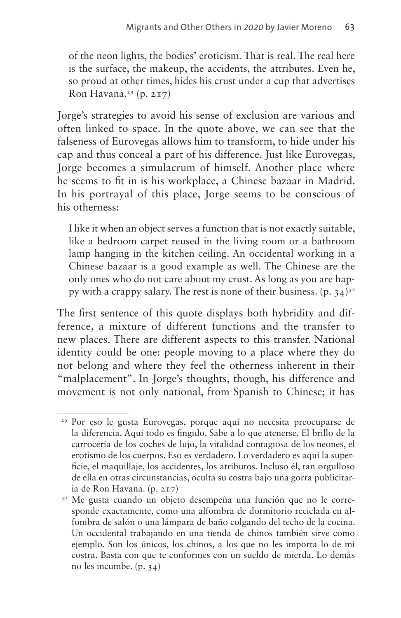of the neon lights, the bodies' eroticism. That is real. The real here is the surface, the makeup, the accidents, the attributes. Even he, so proud at other times, hides his crust under a cup that advertises Ron Havana.<sup>[29](#page-12-0)</sup> (p. 217)

Jorge's strategies to avoid his sense of exclusion are various and often linked to space. In the quote above, we can see that the falseness of Eurovegas allows him to transform, to hide under his cap and thus conceal a part of his difference. Just like Eurovegas, Jorge becomes a simulacrum of himself. Another place where he seems to fit in is his workplace, a Chinese bazaar in Madrid. In his portrayal of this place, Jorge seems to be conscious of his otherness:

I like it when an object serves a function that is not exactly suitable, like a bedroom carpet reused in the living room or a bathroom lamp hanging in the kitchen ceiling. An occidental working in a Chinese bazaar is a good example as well. The Chinese are the only ones who do not care about my crust. As long as you are happy with a crappy salary. The rest is none of their business.  $(p. 34)$ <sup>30</sup>

The first sentence of this quote displays both hybridity and difference, a mixture of different functions and the transfer to new places. There are different aspects to this transfer. National identity could be one: people moving to a place where they do not belong and where they feel the otherness inherent in their "malplacement". In Jorge's thoughts, though, his difference and movement is not only national, from Spanish to Chinese; it has

<span id="page-12-0"></span><sup>&</sup>lt;sup>29</sup> Por eso le gusta Eurovegas, porque aquí no necesita preocuparse de la diferencia. Aquí todo es fingido. Sabe a lo que atenerse. El brillo de la carrocería de los coches de lujo, la vitalidad contagiosa de los neones, el erotismo de los cuerpos. Eso es verdadero. Lo verdadero es aquí la superficie, el maquillaje, los accidentes, los atributos. Incluso él, tan orgulloso de ella en otras circunstancias, oculta su costra bajo una gorra publicitaria de Ron Havana. (p. 217)

<span id="page-12-1"></span><sup>30</sup> Me gusta cuando un objeto desempeña una función que no le corresponde exactamente, como una alfombra de dormitorio reciclada en alfombra de salón o una lámpara de baño colgando del techo de la cocina. Un occidental trabajando en una tienda de chinos también sirve como ejemplo. Son los únicos, los chinos, a los que no les importa lo de mi costra. Basta con que te conformes con un sueldo de mierda. Lo demás no les incumbe. (p. 34)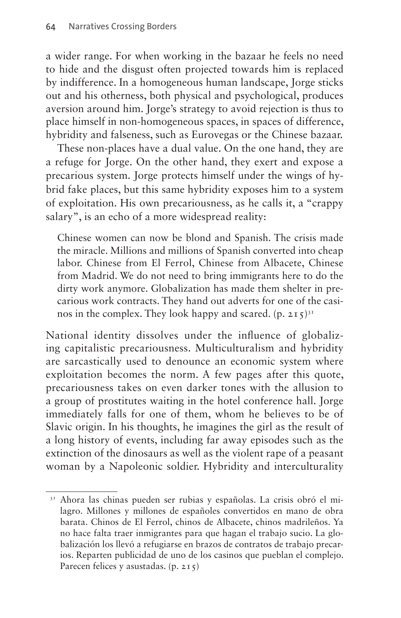a wider range. For when working in the bazaar he feels no need to hide and the disgust often projected towards him is replaced by indifference. In a homogeneous human landscape, Jorge sticks out and his otherness, both physical and psychological, produces aversion around him. Jorge's strategy to avoid rejection is thus to place himself in non-homogeneous spaces, in spaces of difference, hybridity and falseness, such as Eurovegas or the Chinese bazaar.

These non-places have a dual value. On the one hand, they are a refuge for Jorge. On the other hand, they exert and expose a precarious system. Jorge protects himself under the wings of hybrid fake places, but this same hybridity exposes him to a system of exploitation. His own precariousness, as he calls it, a "crappy salary", is an echo of a more widespread reality:

Chinese women can now be blond and Spanish. The crisis made the miracle. Millions and millions of Spanish converted into cheap labor. Chinese from El Ferrol, Chinese from Albacete, Chinese from Madrid. We do not need to bring immigrants here to do the dirty work anymore. Globalization has made them shelter in precarious work contracts. They hand out adverts for one of the casinos in the complex. They look happy and scared.  $(p, 215)^{31}$  $(p, 215)^{31}$  $(p, 215)^{31}$ 

National identity dissolves under the influence of globalizing capitalistic precariousness. Multiculturalism and hybridity are sarcastically used to denounce an economic system where exploitation becomes the norm. A few pages after this quote, precariousness takes on even darker tones with the allusion to a group of prostitutes waiting in the hotel conference hall. Jorge immediately falls for one of them, whom he believes to be of Slavic origin. In his thoughts, he imagines the girl as the result of a long history of events, including far away episodes such as the extinction of the dinosaurs as well as the violent rape of a peasant woman by a Napoleonic soldier. Hybridity and interculturality

<span id="page-13-0"></span><sup>&</sup>lt;sup>31</sup> Ahora las chinas pueden ser rubias y españolas. La crisis obró el milagro. Millones y millones de españoles convertidos en mano de obra barata. Chinos de El Ferrol, chinos de Albacete, chinos madrileños. Ya no hace falta traer inmigrantes para que hagan el trabajo sucio. La globalización los llevó a refugiarse en brazos de contratos de trabajo precarios. Reparten publicidad de uno de los casinos que pueblan el complejo. Parecen felices y asustadas. (p. 215)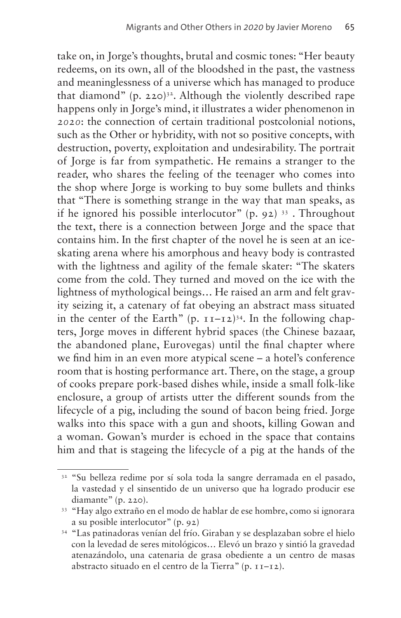take on, in Jorge's thoughts, brutal and cosmic tones: "Her beauty redeems, on its own, all of the bloodshed in the past, the vastness and meaninglessness of a universe which has managed to produce that diamond" (p. 220)<sup>32</sup>. Although the violently described rape happens only in Jorge's mind, it illustrates a wider phenomenon in *2020*: the connection of certain traditional postcolonial notions, such as the Other or hybridity, with not so positive concepts, with destruction, poverty, exploitation and undesirability. The portrait of Jorge is far from sympathetic. He remains a stranger to the reader, who shares the feeling of the teenager who comes into the shop where Jorge is working to buy some bullets and thinks that "There is something strange in the way that man speaks, as if he ignored his possible interlocutor"  $(p. 92)$ <sup>33</sup>. Throughout the text, there is a connection between Jorge and the space that contains him. In the first chapter of the novel he is seen at an iceskating arena where his amorphous and heavy body is contrasted with the lightness and agility of the female skater: "The skaters come from the cold. They turned and moved on the ice with the lightness of mythological beings… He raised an arm and felt gravity seizing it, a catenary of fat obeying an abstract mass situated in the center of the Earth"  $(p, 11-12)^{34}$ . In the following chapters, Jorge moves in different hybrid spaces (the Chinese bazaar, the abandoned plane, Eurovegas) until the final chapter where we find him in an even more atypical scene – a hotel's conference room that is hosting performance art. There, on the stage, a group of cooks prepare pork-based dishes while, inside a small folk-like enclosure, a group of artists utter the different sounds from the lifecycle of a pig, including the sound of bacon being fried. Jorge walks into this space with a gun and shoots, killing Gowan and a woman. Gowan's murder is echoed in the space that contains him and that is stageing the lifecycle of a pig at the hands of the

<span id="page-14-0"></span><sup>&</sup>lt;sup>32</sup> "Su belleza redime por sí sola toda la sangre derramada en el pasado, la vastedad y el sinsentido de un universo que ha logrado producir ese diamante" (p. 220).

<span id="page-14-1"></span><sup>33</sup> "Hay algo extraño en el modo de hablar de ese hombre, como si ignorara a su posible interlocutor" (p. 92)

<span id="page-14-2"></span><sup>34</sup> "Las patinadoras venían del frío. Giraban y se desplazaban sobre el hielo con la levedad de seres mitológicos… Elevó un brazo y sintió la gravedad atenazándolo, una catenaria de grasa obediente a un centro de masas abstracto situado en el centro de la Tierra" (p. 11–12).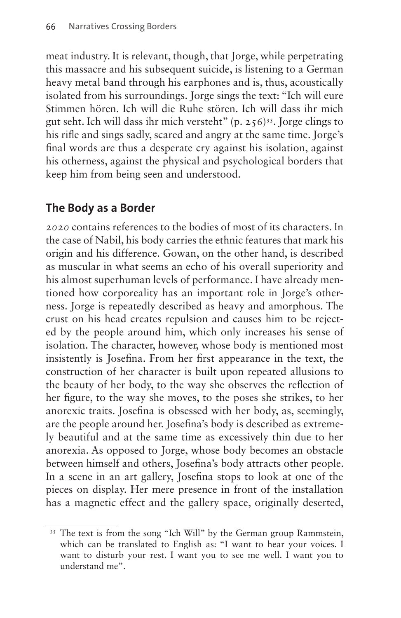meat industry. It is relevant, though, that Jorge, while perpetrating this massacre and his subsequent suicide, is listening to a German heavy metal band through his earphones and is, thus, acoustically isolated from his surroundings. Jorge sings the text: "Ich will eure Stimmen hören. Ich will die Ruhe stören. Ich will dass ihr mich gut seht. Ich will dass ihr mich versteht" (p.  $256$ )<sup>35</sup>. Jorge clings to his rifle and sings sadly, scared and angry at the same time. Jorge's final words are thus a desperate cry against his isolation, against his otherness, against the physical and psychological borders that keep him from being seen and understood.

# **The Body as a Border**

*2020* contains references to the bodies of most of its characters. In the case of Nabil, his body carries the ethnic features that mark his origin and his difference. Gowan, on the other hand, is described as muscular in what seems an echo of his overall superiority and his almost superhuman levels of performance. I have already mentioned how corporeality has an important role in Jorge's otherness. Jorge is repeatedly described as heavy and amorphous. The crust on his head creates repulsion and causes him to be rejected by the people around him, which only increases his sense of isolation. The character, however, whose body is mentioned most insistently is Josefina. From her first appearance in the text, the construction of her character is built upon repeated allusions to the beauty of her body, to the way she observes the reflection of her figure, to the way she moves, to the poses she strikes, to her anorexic traits. Josefina is obsessed with her body, as, seemingly, are the people around her. Josefina's body is described as extremely beautiful and at the same time as excessively thin due to her anorexia. As opposed to Jorge, whose body becomes an obstacle between himself and others, Josefina's body attracts other people. In a scene in an art gallery, Josefina stops to look at one of the pieces on display. Her mere presence in front of the installation has a magnetic effect and the gallery space, originally deserted,

<span id="page-15-0"></span><sup>&</sup>lt;sup>35</sup> The text is from the song "Ich Will" by the German group Rammstein, which can be translated to English as: "I want to hear your voices. I want to disturb your rest. I want you to see me well. I want you to understand me".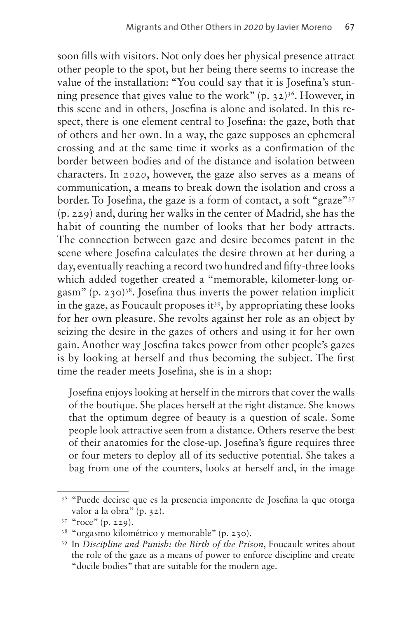soon fills with visitors. Not only does her physical presence attract other people to the spot, but her being there seems to increase the value of the installation: "You could say that it is Josefina's stunning presence that gives value to the work"  $(p, 32)^{36}$ . However, in this scene and in others, Josefina is alone and isolated. In this respect, there is one element central to Josefina: the gaze, both that of others and her own. In a way, the gaze supposes an ephemeral crossing and at the same time it works as a confirmation of the border between bodies and of the distance and isolation between characters. In *2020*, however, the gaze also serves as a means of communication, a means to break down the isolation and cross a border. To Josefina, the gaze is a form of contact, a soft "graze"[37](#page-16-1) (p. 229) and, during her walks in the center of Madrid, she has the habit of counting the number of looks that her body attracts. The connection between gaze and desire becomes patent in the scene where Josefina calculates the desire thrown at her during a day, eventually reaching a record two hundred and fifty-three looks which added together created a "memorable, kilometer-long orgasm" (p. 230)<sup>38</sup>. Josefina thus inverts the power relation implicit in the gaze, as Foucault proposes it<sup>39</sup>, by appropriating these looks for her own pleasure. She revolts against her role as an object by seizing the desire in the gazes of others and using it for her own gain. Another way Josefina takes power from other people's gazes is by looking at herself and thus becoming the subject. The first time the reader meets Josefina, she is in a shop:

Josefina enjoys looking at herself in the mirrors that cover the walls of the boutique. She places herself at the right distance. She knows that the optimum degree of beauty is a question of scale. Some people look attractive seen from a distance. Others reserve the best of their anatomies for the close-up. Josefina's figure requires three or four meters to deploy all of its seductive potential. She takes a bag from one of the counters, looks at herself and, in the image

<span id="page-16-0"></span><sup>&</sup>lt;sup>36</sup> "Puede decirse que es la presencia imponente de Josefina la que otorga valor a la obra" (p. 32).

<span id="page-16-1"></span> $37$  "roce" (p. 229).

<span id="page-16-2"></span><sup>38</sup> "orgasmo kilométrico y memorable" (p. 230).

<span id="page-16-3"></span><sup>39</sup> In *Discipline and Punish: the Birth of the Prison*, Foucault writes about the role of the gaze as a means of power to enforce discipline and create "docile bodies" that are suitable for the modern age.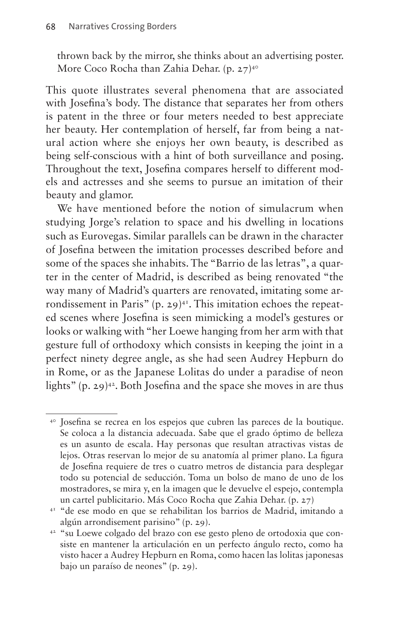thrown back by the mirror, she thinks about an advertising poster. More Coco Rocha than Zahia Dehar. (p. 27)<sup>40</sup>

This quote illustrates several phenomena that are associated with Josefina's body. The distance that separates her from others is patent in the three or four meters needed to best appreciate her beauty. Her contemplation of herself, far from being a natural action where she enjoys her own beauty, is described as being self-conscious with a hint of both surveillance and posing. Throughout the text, Josefina compares herself to different models and actresses and she seems to pursue an imitation of their beauty and glamor.

We have mentioned before the notion of simulacrum when studying Jorge's relation to space and his dwelling in locations such as Eurovegas. Similar parallels can be drawn in the character of Josefina between the imitation processes described before and some of the spaces she inhabits. The "Barrio de las letras", a quarter in the center of Madrid, is described as being renovated "the way many of Madrid's quarters are renovated, imitating some arrondissement in Paris"  $(p. 29)^{41}$ . This imitation echoes the repeated scenes where Josefina is seen mimicking a model's gestures or looks or walking with "her Loewe hanging from her arm with that gesture full of orthodoxy which consists in keeping the joint in a perfect ninety degree angle, as she had seen Audrey Hepburn do in Rome, or as the Japanese Lolitas do under a paradise of neon lights" (p. 29) $42$ . Both Josefina and the space she moves in are thus

<span id="page-17-0"></span><sup>40</sup> Josefina se recrea en los espejos que cubren las pareces de la boutique. Se coloca a la distancia adecuada. Sabe que el grado óptimo de belleza es un asunto de escala. Hay personas que resultan atractivas vistas de lejos. Otras reservan lo mejor de su anatomía al primer plano. La figura de Josefina requiere de tres o cuatro metros de distancia para desplegar todo su potencial de seducción. Toma un bolso de mano de uno de los mostradores, se mira y, en la imagen que le devuelve el espejo, contempla un cartel publicitario. Más Coco Rocha que Zahia Dehar. (p. 27)

<span id="page-17-1"></span><sup>41</sup> "de ese modo en que se rehabilitan los barrios de Madrid, imitando a algún arrondisement parisino" (p. 29).

<span id="page-17-2"></span><sup>42</sup> "su Loewe colgado del brazo con ese gesto pleno de ortodoxia que consiste en mantener la articulación en un perfecto ángulo recto, como ha visto hacer a Audrey Hepburn en Roma, como hacen las lolitas japonesas bajo un paraíso de neones" (p. 29).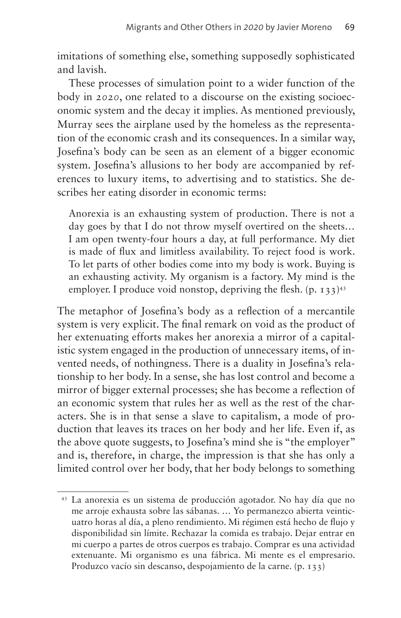imitations of something else, something supposedly sophisticated and lavish.

These processes of simulation point to a wider function of the body in *2020*, one related to a discourse on the existing socioeconomic system and the decay it implies. As mentioned previously, Murray sees the airplane used by the homeless as the representation of the economic crash and its consequences. In a similar way, Josefina's body can be seen as an element of a bigger economic system. Josefina's allusions to her body are accompanied by references to luxury items, to advertising and to statistics. She describes her eating disorder in economic terms:

Anorexia is an exhausting system of production. There is not a day goes by that I do not throw myself overtired on the sheets… I am open twenty-four hours a day, at full performance. My diet is made of flux and limitless availability. To reject food is work. To let parts of other bodies come into my body is work. Buying is an exhausting activity. My organism is a factory. My mind is the employer. I produce void nonstop, depriving the flesh.  $(p, 133)^{43}$ 

The metaphor of Josefina's body as a reflection of a mercantile system is very explicit. The final remark on void as the product of her extenuating efforts makes her anorexia a mirror of a capitalistic system engaged in the production of unnecessary items, of invented needs, of nothingness. There is a duality in Josefina's relationship to her body. In a sense, she has lost control and become a mirror of bigger external processes; she has become a reflection of an economic system that rules her as well as the rest of the characters. She is in that sense a slave to capitalism, a mode of production that leaves its traces on her body and her life. Even if, as the above quote suggests, to Josefina's mind she is "the employer" and is, therefore, in charge, the impression is that she has only a limited control over her body, that her body belongs to something

<span id="page-18-0"></span><sup>43</sup> La anorexia es un sistema de producción agotador. No hay día que no me arroje exhausta sobre las sábanas. … Yo permanezco abierta veinticuatro horas al día, a pleno rendimiento. Mi régimen está hecho de flujo y disponibilidad sin límite. Rechazar la comida es trabajo. Dejar entrar en mi cuerpo a partes de otros cuerpos es trabajo. Comprar es una actividad extenuante. Mi organismo es una fábrica. Mi mente es el empresario. Produzco vacío sin descanso, despojamiento de la carne. (p. 133)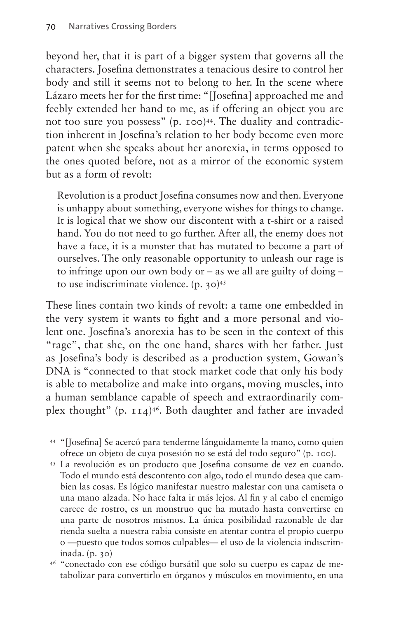beyond her, that it is part of a bigger system that governs all the characters. Josefina demonstrates a tenacious desire to control her body and still it seems not to belong to her. In the scene where Lázaro meets her for the first time: "[Josefina] approached me and feebly extended her hand to me, as if offering an object you are not too sure you possess" (p. 100)<sup>44</sup>. The duality and contradiction inherent in Josefina's relation to her body become even more patent when she speaks about her anorexia, in terms opposed to the ones quoted before, not as a mirror of the economic system but as a form of revolt:

Revolution is a product Josefina consumes now and then. Everyone is unhappy about something, everyone wishes for things to change. It is logical that we show our discontent with a t-shirt or a raised hand. You do not need to go further. After all, the enemy does not have a face, it is a monster that has mutated to become a part of ourselves. The only reasonable opportunity to unleash our rage is to infringe upon our own body or – as we all are guilty of doing – to use indiscriminate violence. (p. 30)[45](#page-19-1)

These lines contain two kinds of revolt: a tame one embedded in the very system it wants to fight and a more personal and violent one. Josefina's anorexia has to be seen in the context of this "rage", that she, on the one hand, shares with her father. Just as Josefina's body is described as a production system, Gowan's DNA is "connected to that stock market code that only his body is able to metabolize and make into organs, moving muscles, into a human semblance capable of speech and extraordinarily complex thought" (p. 114)[46.](#page-19-2) Both daughter and father are invaded

<span id="page-19-0"></span><sup>44</sup> "[Josefina] Se acercó para tenderme lánguidamente la mano, como quien ofrece un objeto de cuya posesión no se está del todo seguro" (p. 100).

<span id="page-19-1"></span><sup>45</sup> La revolución es un producto que Josefina consume de vez en cuando. Todo el mundo está descontento con algo, todo el mundo desea que cambien las cosas. Es lógico manifestar nuestro malestar con una camiseta o una mano alzada. No hace falta ir más lejos. Al fin y al cabo el enemigo carece de rostro, es un monstruo que ha mutado hasta convertirse en una parte de nosotros mismos. La única posibilidad razonable de dar rienda suelta a nuestra rabia consiste en atentar contra el propio cuerpo o —puesto que todos somos culpables— el uso de la violencia indiscriminada. (p. 30)

<span id="page-19-2"></span><sup>46</sup> "conectado con ese código bursátil que solo su cuerpo es capaz de metabolizar para convertirlo en órganos y músculos en movimiento, en una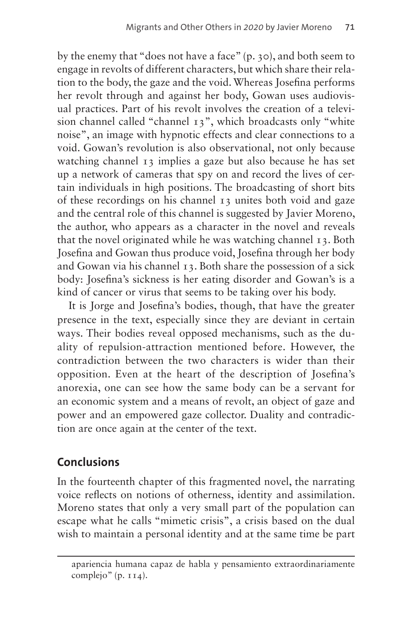by the enemy that "does not have a face" (p. 30), and both seem to engage in revolts of different characters, but which share their relation to the body, the gaze and the void. Whereas Josefina performs her revolt through and against her body, Gowan uses audiovisual practices. Part of his revolt involves the creation of a television channel called "channel 13", which broadcasts only "white noise", an image with hypnotic effects and clear connections to a void. Gowan's revolution is also observational, not only because watching channel 13 implies a gaze but also because he has set up a network of cameras that spy on and record the lives of certain individuals in high positions. The broadcasting of short bits of these recordings on his channel 13 unites both void and gaze and the central role of this channel is suggested by Javier Moreno, the author, who appears as a character in the novel and reveals that the novel originated while he was watching channel 13. Both Josefina and Gowan thus produce void, Josefina through her body and Gowan via his channel 13. Both share the possession of a sick body: Josefina's sickness is her eating disorder and Gowan's is a kind of cancer or virus that seems to be taking over his body.

It is Jorge and Josefina's bodies, though, that have the greater presence in the text, especially since they are deviant in certain ways. Their bodies reveal opposed mechanisms, such as the duality of repulsion-attraction mentioned before. However, the contradiction between the two characters is wider than their opposition. Even at the heart of the description of Josefina's anorexia, one can see how the same body can be a servant for an economic system and a means of revolt, an object of gaze and power and an empowered gaze collector. Duality and contradiction are once again at the center of the text.

# **Conclusions**

In the fourteenth chapter of this fragmented novel, the narrating voice reflects on notions of otherness, identity and assimilation. Moreno states that only a very small part of the population can escape what he calls "mimetic crisis", a crisis based on the dual wish to maintain a personal identity and at the same time be part

apariencia humana capaz de habla y pensamiento extraordinariamente complejo" (p. 114).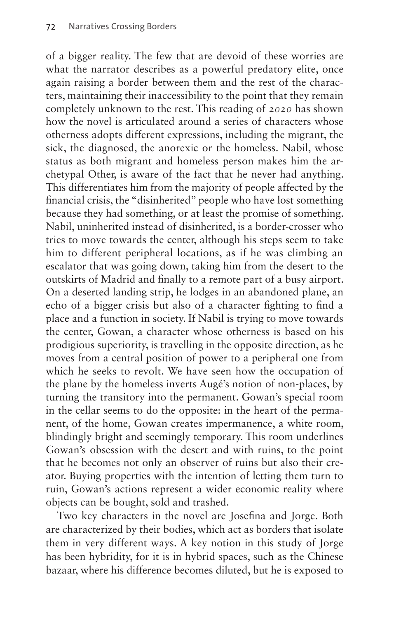of a bigger reality. The few that are devoid of these worries are what the narrator describes as a powerful predatory elite, once again raising a border between them and the rest of the characters, maintaining their inaccessibility to the point that they remain completely unknown to the rest. This reading of *2020* has shown how the novel is articulated around a series of characters whose otherness adopts different expressions, including the migrant, the sick, the diagnosed, the anorexic or the homeless. Nabil, whose status as both migrant and homeless person makes him the archetypal Other, is aware of the fact that he never had anything. This differentiates him from the majority of people affected by the financial crisis, the "disinherited" people who have lost something because they had something, or at least the promise of something. Nabil, uninherited instead of disinherited, is a border-crosser who tries to move towards the center, although his steps seem to take him to different peripheral locations, as if he was climbing an escalator that was going down, taking him from the desert to the outskirts of Madrid and finally to a remote part of a busy airport. On a deserted landing strip, he lodges in an abandoned plane, an echo of a bigger crisis but also of a character fighting to find a place and a function in society. If Nabil is trying to move towards the center, Gowan, a character whose otherness is based on his prodigious superiority, is travelling in the opposite direction, as he moves from a central position of power to a peripheral one from which he seeks to revolt. We have seen how the occupation of the plane by the homeless inverts Augé's notion of non-places, by turning the transitory into the permanent. Gowan's special room in the cellar seems to do the opposite: in the heart of the permanent, of the home, Gowan creates impermanence, a white room, blindingly bright and seemingly temporary. This room underlines Gowan's obsession with the desert and with ruins, to the point that he becomes not only an observer of ruins but also their creator. Buying properties with the intention of letting them turn to ruin, Gowan's actions represent a wider economic reality where objects can be bought, sold and trashed.

Two key characters in the novel are Josefina and Jorge. Both are characterized by their bodies, which act as borders that isolate them in very different ways. A key notion in this study of Jorge has been hybridity, for it is in hybrid spaces, such as the Chinese bazaar, where his difference becomes diluted, but he is exposed to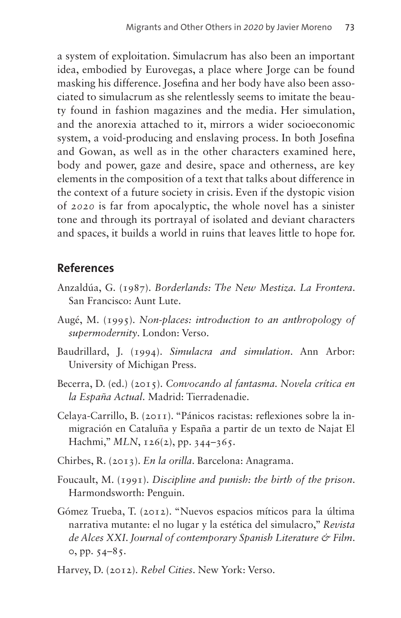a system of exploitation. Simulacrum has also been an important idea, embodied by Eurovegas, a place where Jorge can be found masking his difference. Josefina and her body have also been associated to simulacrum as she relentlessly seems to imitate the beauty found in fashion magazines and the media. Her simulation, and the anorexia attached to it, mirrors a wider socioeconomic system, a void-producing and enslaving process. In both Josefina and Gowan, as well as in the other characters examined here, body and power, gaze and desire, space and otherness, are key elements in the composition of a text that talks about difference in the context of a future society in crisis. Even if the dystopic vision of *2020* is far from apocalyptic, the whole novel has a sinister tone and through its portrayal of isolated and deviant characters and spaces, it builds a world in ruins that leaves little to hope for.

#### **References**

- Anzaldúa, G. (1987). *Borderlands: The New Mestiza. La Frontera*. San Francisco: Aunt Lute.
- Augé, M. (1995). *Non-places: introduction to an anthropology of supermodernity*. London: Verso.
- Baudrillard, J. (1994). *Simulacra and simulation*. Ann Arbor: University of Michigan Press.
- Becerra, D. (ed.) (2015). *Convocando al fantasma. Novela crítica en la España Actual*. Madrid: Tierradenadie.
- Celaya-Carrillo, B. (2011). "Pánicos racistas: reflexiones sobre la inmigración en Cataluña y España a partir de un texto de Najat El Hachmi," *MLN*, 126(2), pp. 344-365.
- Chirbes, R. (2013). *En la orilla*. Barcelona: Anagrama.
- Foucault, M. (1991). *Discipline and punish: the birth of the prison*. Harmondsworth: Penguin.
- Gómez Trueba, T. (2012). "Nuevos espacios míticos para la última narrativa mutante: el no lugar y la estética del simulacro," *Revista de Alces XXI. Journal of contemporary Spanish Literature & Film*. 0, pp. 54–85.
- Harvey, D. (2012). *Rebel Cities*. New York: Verso.